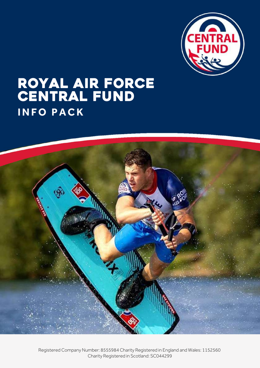

# ROYAL AIR FORCE CENTRAL FUND **I N F O P A C K**

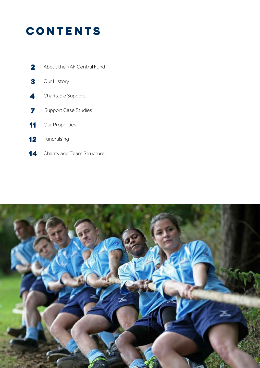## **CONTENTS**

- 2 About the RAF Central Fund
- Our History 3
- Charitable Support 4
- Support Case Studies 7
- Our Properties 11
- Fundraising 12
- Charity and Team Structure 14

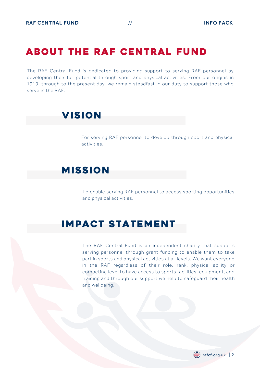### ABOUT THE RAF CENTRAL FUND

The RAF Central Fund is dedicated to providing support to serving RAF personnel by developing their full potential through sport and physical activities. From our origins in 1919, through to the present day, we remain steadfast in our duty to support those who serve in the RAF.

### **VISION**

For serving RAF personnel to develop through sport and physical activities.

### **MISSION**

To enable serving RAF personnel to access sporting opportunities and physical activities.

### IMPACT STATEMENT

The RAF Central Fund is an independent charity that supports serving personnel through grant funding to enable them to take part in sports and physical activities at all levels. We want everyone in the RAF regardless of their role, rank, physical ability or competing level to have access to sports facilities, equipment, and training and through our support we help to safeguard their health and wellbeing.

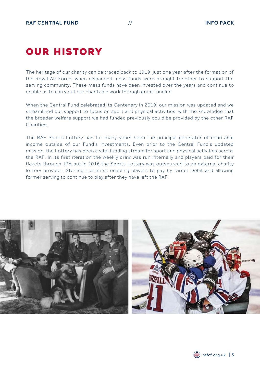## **OUR HISTORY**

The heritage of our charity can be traced back to 1919, just one year after the formation of the Royal Air Force, when disbanded mess funds were brought together to support the serving community. These mess funds have been invested over the years and continue to enable us to carry out our charitable work through grant funding.

When the Central Fund celebrated its Centenary in 2019, our mission was updated and we streamlined our support to focus on sport and physical activities, with the knowledge that the broader welfare support we had funded previously could be provided by the other RAF **Charities** 

The RAF Sports Lottery has for many years been the principal generator of charitable income outside of our Fund's investments. Even prior to the Central Fund's updated mission, the Lottery has been a vital funding stream for sport and physical activities across the RAF. In its first iteration the weekly draw was run internally and players paid for their tickets through JPA but in 2016 the Sports Lottery was outsourced to an external charity lottery provider, Sterling Lotteries, enabling players to pay by Direct Debit and allowing former serving to continue to play after they have left the RAF.



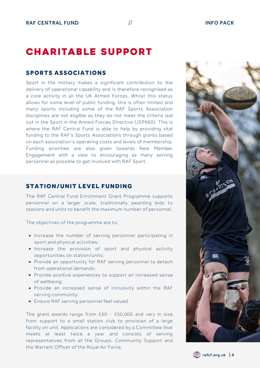### **CHARITABLE SUPPORT**

#### SPORTS ASSOCIATIONS

Sport in the military makes a significant contribution to the delivery of operational capability and is therefore recognised as a core activity in all the UK Armed Forces. Whilst this status allows for some level of public funding, this is often limited and many sports including some of the RAF Sports Association disciplines are not eligible as they do not meet the criteria laid out in the Sport in the Armed Forces Directive (JSP660). This is where the RAF Central Fund is able to help by providing vital funding to the RAF's Sports Associations through grants based on each association's operating costs and levels of membership. Funding priorities are also given towards New Member Engagement with a view to encouraging as many serving personnel as possible to get involved with RAF Sport.

#### STATION/UNIT LEVEL FUNDING

The RAF Central Fund Enrichment Grant Programme supports personnel on a larger scale, traditionally awarding bids to stations and units to benefit the maximum number of personnel.

The objectives of the programme are to;

- Increase the number of serving personnel participating in sport and physical activities;
- Increase the provision of sport and physical activity opportunities on station/units;
- Provide an opportunity for RAF serving personnel to detach from operational demands;
- Provide positive experiences to support an increased sense of wellbeing;
- Provide an increased sense of inclusivity within the RAF serving community;
- Ensure RAF serving personnel feel valued.

The grant awards range from £50 - £50,000 and vary in size from support to a small station club to provision of a large facility on unit. Applications are considered by a Committee that meets at least twice a year and consists of serving representatives from all the Groups, Community Support and the Warrant Officer of the Royal Air Force.



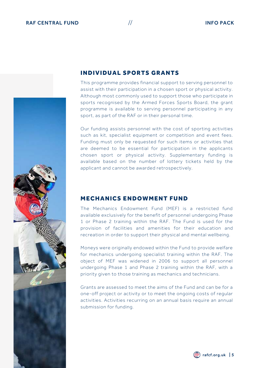

#### **INDIVIDUAL SPORTS GRANTS**

This programme provides financial support to serving personnel to assist with their participation in a chosen sport or physical activity. Although most commonly used to support those who participate in sports recognised by the Armed Forces Sports Board, the grant programme is available to serving personnel participating in any sport, as part of the RAF or in their personal time.

Our funding assists personnel with the cost of sporting activities such as kit, specialist equipment or competition and event fees. Funding must only be requested for such items or activities that are deemed to be essential for participation in the applicants chosen sport or physical activity. Supplementary funding is available based on the number of lottery tickets held by the applicant and cannot be awarded retrospectively.

#### **MECHANICS ENDOWMENT FUND**

The Mechanics Endowment Fund (MEF) is a restricted fund available exclusively for the benefit of personnel undergoing Phase 1 or Phase 2 training within the RAF. The Fund is used for the provision of facilities and amenities for their education and recreation in order to support their physical and mental wellbeing.

Moneys were originally endowed within the Fund to provide welfare for mechanics undergoing specialist training within the RAF. The object of MEF was widened in 2006 to support all personnel undergoing Phase 1 and Phase 2 training within the RAF, with a priority given to those training as mechanics and technicians.

Grants are assessed to meet the aims of the Fund and can be for a one-off project or activity or to meet the ongoing costs of regular activities. Activities recurring on an annual basis require an annual submission for funding.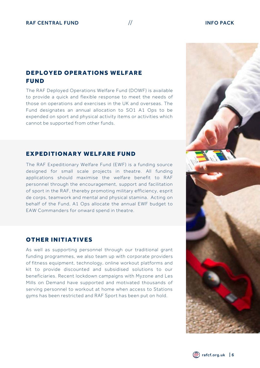### DEPLOYED OPERATIONS WELFARE **FUND**

The RAF Deployed Operations Welfare Fund (DOWF) is available to provide a quick and flexible response to meet the needs of those on operations and exercises in the UK and overseas. The Fund designates an annual allocation to SO1 A1 Ops to be expended on sport and physical activity items or activities which cannot be supported from other funds.

#### EXPEDITIONARY WELFARE FUND

The RAF Expeditionary Welfare Fund (EWF) is a funding source designed for small scale projects in theatre. All funding applications should maximise the welfare benefit to RAF personnel through the encouragement, support and facilitation of sport in the RAF, thereby promoting military efficiency, esprit de corps, teamwork and mental and physical stamina. Acting on behalf of the Fund, A1 Ops allocate the annual EWF budget to EAW Commanders for onward spend in theatre.

#### **OTHER INITIATIVES**

As well as supporting personnel through our traditional grant funding programmes, we also team up with corporate providers of fitness equipment, technology, online workout platforms and kit to provide discounted and subsidised solutions to our beneficiaries. Recent lockdown campaigns with Myzone and Les Mills on Demand have supported and motivated thousands of serving personnel to workout at home when access to Stations gyms has been restricted and RAF Sport has been put on hold.



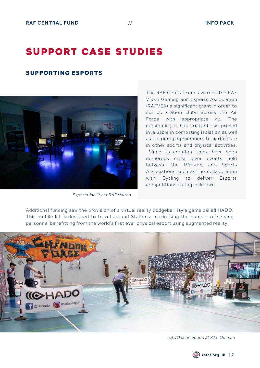### SUPPORT CASE STUDIES

#### SUPPORTING ESPORTS



*Esports facility at RAF Halton*

The RAF Central Fund awarded the RAF Video Gaming and Esports Association (RAFVEA) a significant grant in order to set up station clubs across the Air Force with appropriate kit. The community it has created has proved invaluable in combating isolation as well as encouraging members to participate in other sports and physical activities. Since its creation, there have been numerous cross over events held between the RAFVEA and Sports Associations such as the collaboration with Cycling to deliver Esports competitions during lockdown.

Additional funding saw the provision of a virtual reality dodgeball style game called HADO. This mobile kit is designed to travel around Stations, maximising the number of serving personnel benefitting from the world's first ever physical esport using augmented reality.



*HADO kit in action at RAF Odiham*

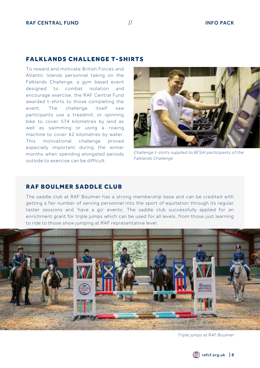#### **FALKLANDS CHALLENGE T-SHIRTS**

To reward and motivate British Forces and Atlantic Islands personnel taking on the Falklands Challenge, a gym based event designed to combat isolation and encourage exercise, the RAF Central Fund awarded t-shirts to those completing the event. The challenge itself saw participants use a treadmill, or spinning bike to cover 574 kilometres by land as well as swimming or using a rowing machine to cover 62 kilometres by water. This motivational challenge proved especially important during the winter months when spending elongated periods outside to exercise can be difficult.



*Challenge t-shirts supplied to BFSAI participants of the Falklands Challenge*

#### **RAF BOULMER SADDLE CLUB**

The saddle club at RAF Boulmer has a strong membership base and can be credited with getting a fair number of serving personnel into the sport of equitation through its regular taster sessions and 'have a go' events. The saddle club successfully applied for an enrichment grant for triple jumps which can be used for all levels, from those just learning to ride to those show jumping at RAF representative level.



*Triple jumps at RAF Boulmer*

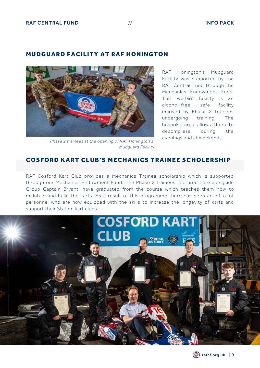#### MUDGUARD FACILITY AT RAF HONINGTON



*Phase 2 trainees at the opening of RAF Honington's Mudguard Facility*

RAF Honington's Mudguard Facility was supported by the RAF Central Fund through the Mechanics Endowment Fund. This welfare facility is an alcohol-free, safe facility enjoyed by Phase 2 trainees undergoing training. The bespoke area allows them to decompress during the evenings and at weekends.

#### COSFORD KART CLUB'S MECHANICS TRAINEE SCHOLERSHIP

RAF Cosford Kart Club provides a Mechanics Trainee scholarship which is supported through our Mechanics Endowment Fund. The Phase 2 trainees, pictured here alongside Group Captain Bryant, have graduated from the course which teaches them how to maintain and build the karts. As a result of this programme there has been an influx of personnel who are now equipped with the skills to increase the longevity of karts and support their Station kart clubs.



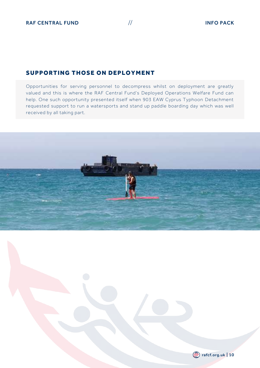#### SUPPORTING THOSE ON DEPLOYMENT

Opportunities for serving personnel to decompress whilst on deployment are greatly valued and this is where the RAF Central Fund's Deployed Operations Welfare Fund can help. One such opportunity presented itself when 903 EAW Cyprus Typhoon Detachment requested support to run a watersports and stand up paddle boarding day which was well received by all taking part.



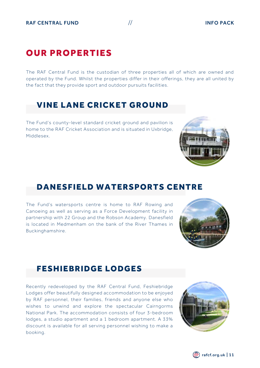### **OUR PROPERTIES**

The RAF Central Fund is the custodian of three properties all of which are owned and operated by the Fund. Whilst the properties differ in their offerings, they are all united by the fact that they provide sport and outdoor pursuits facilities.

### **VINE LANE CRICKET GROUND**

The Fund's county-level standard cricket ground and pavilion is home to the RAF Cricket Association and is situated in Uxbridge, Middlesex.

### DANESFIELD WATERSPORTS CENTRE

The Fund's watersports centre is home to RAF Rowing and Canoeing as well as serving as a Force Development facility in partnership with 22 Group and the Robson Academy. Danesfield is located in Medmenham on the bank of the River Thames in Buckinghamshire.

### **FESHIEBRIDGE LODGES**

Recently redeveloped by the RAF Central Fund, Feshiebridge Lodges offer beautifully designed accommodation to be enjoyed by RAF personnel, their families, friends and anyone else who wishes to unwind and explore the spectacular Cairngorms National Park. The accommodation consists of four 3-bedroom lodges, a studio apartment and a 1 bedroom apartment. A 33% discount is available for all serving personnel wishing to make a booking.







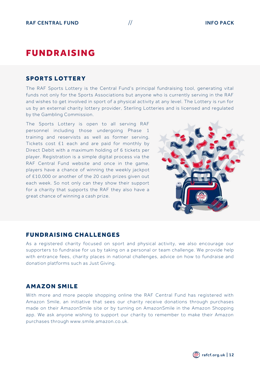### **FUNDRAISING**

#### **SPORTS LOTTERY**

The RAF Sports Lottery is the Central Fund's principal fundraising tool, generating vital funds not only for the Sports Associations but anyone who is currently serving in the RAF and wishes to get involved in sport of a physical activity at any level. The Lottery is run for us by an external charity lottery provider, Sterling Lotteries and is licensed and regulated by the Gambling Commission.

The Sports Lottery is open to all serving RAF personnel including those undergoing Phase 1 training and reservists as well as former serving. Tickets cost £1 each and are paid for monthly by Direct Debit with a maximum holding of 6 tickets per player. Registration is a simple digital process via the RAF Central Fund website and once in the game, players have a chance of winning the weekly jackpot of £10,000 or another of the 20 cash prizes given out each week. So not only can they show their support for a charity that supports the RAF they also have a great chance of winning a cash prize.



#### **FUNDRAISING CHALLENGES**

As a registered charity focused on sport and physical activity, we also encourage our supporters to fundraise for us by taking on a personal or team challenge. We provide help with entrance fees, charity places in national challenges, advice on how to fundraise and donation platforms such as Just Giving.

#### **AMAZON SMILE**

With more and more people shopping online the RAF Central Fund has registered with Amazon Smile, an initiative that sees our charity receive donations through purchases made on their AmazonSmile site or by turning on AmazonSmile in the Amazon Shopping app. We ask anyone wishing to support our charity to remember to make their Amazon purchases through www.smile.amazon.co.uk.

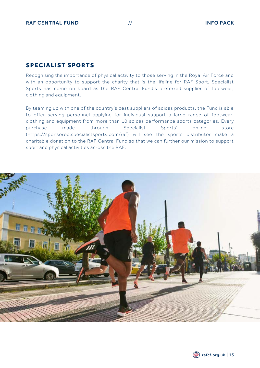#### SPECIALIST SPORTS

Recognising the importance of physical activity to those serving in the Royal Air Force and with an opportunity to support the charity that is the lifeline for RAF Sport, Specialist Sports has come on board as the RAF Central Fund's preferred supplier of footwear, clothing and equipment.

By teaming up with one of the country's best suppliers of adidas products, the Fund is able to offer serving personnel applying for individual support a large range of footwear, clothing and equipment from more than 10 adidas performance sports categories. Every purchase made through Specialist Sports' online store (https://sponsored.specialistsports.com/raf) will see the sports distributor make a charitable donation to the RAF Central Fund so that we can further our mission to support sport and physical activities across the RAF.

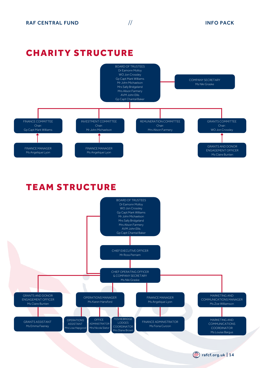rafcf.org.uk | 14

### **CHARITY STRUCTURE**



### **TEAM STRUCTURE**